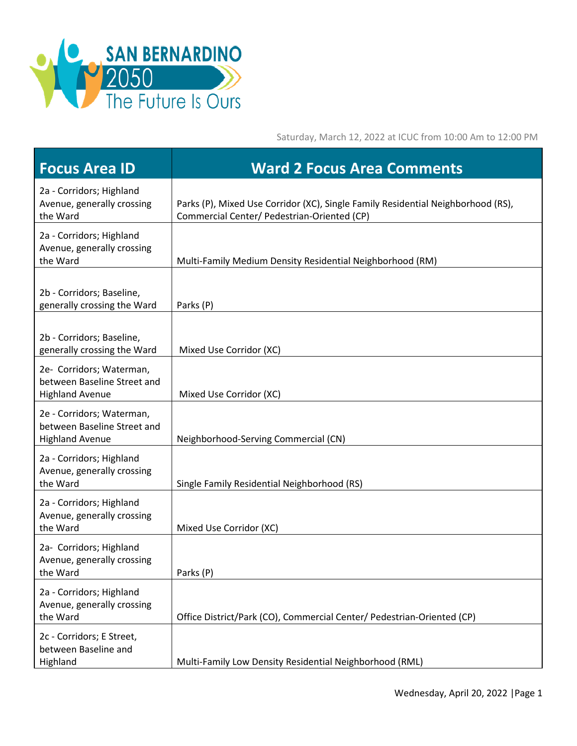

Saturday, March 12, 2022 at ICUC from 10:00 Am to 12:00 PM

| <b>Focus Area ID</b>                                                               | <b>Ward 2 Focus Area Comments</b>                                                                                               |
|------------------------------------------------------------------------------------|---------------------------------------------------------------------------------------------------------------------------------|
| 2a - Corridors; Highland<br>Avenue, generally crossing<br>the Ward                 | Parks (P), Mixed Use Corridor (XC), Single Family Residential Neighborhood (RS),<br>Commercial Center/ Pedestrian-Oriented (CP) |
| 2a - Corridors; Highland<br>Avenue, generally crossing<br>the Ward                 | Multi-Family Medium Density Residential Neighborhood (RM)                                                                       |
| 2b - Corridors; Baseline,<br>generally crossing the Ward                           | Parks (P)                                                                                                                       |
| 2b - Corridors; Baseline,<br>generally crossing the Ward                           | Mixed Use Corridor (XC)                                                                                                         |
| 2e- Corridors; Waterman,<br>between Baseline Street and<br><b>Highland Avenue</b>  | Mixed Use Corridor (XC)                                                                                                         |
| 2e - Corridors; Waterman,<br>between Baseline Street and<br><b>Highland Avenue</b> | Neighborhood-Serving Commercial (CN)                                                                                            |
| 2a - Corridors; Highland<br>Avenue, generally crossing<br>the Ward                 | Single Family Residential Neighborhood (RS)                                                                                     |
| 2a - Corridors; Highland<br>Avenue, generally crossing<br>the Ward                 | Mixed Use Corridor (XC)                                                                                                         |
| 2a- Corridors; Highland<br>Avenue, generally crossing<br>the Ward                  | Parks (P)                                                                                                                       |
| 2a - Corridors; Highland<br>Avenue, generally crossing<br>the Ward                 | Office District/Park (CO), Commercial Center/ Pedestrian-Oriented (CP)                                                          |
| 2c - Corridors; E Street,<br>between Baseline and<br>Highland                      | Multi-Family Low Density Residential Neighborhood (RML)                                                                         |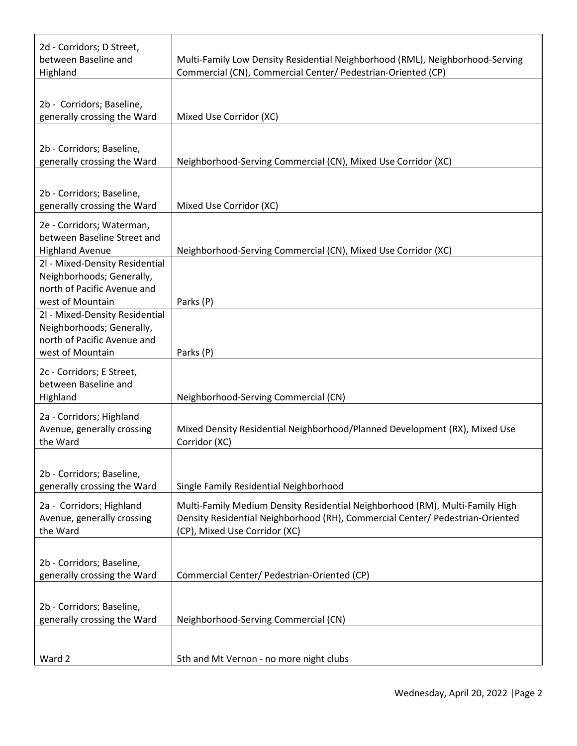| 2d - Corridors; D Street,<br>between Baseline and<br>Highland                                                  | Multi-Family Low Density Residential Neighborhood (RML), Neighborhood-Serving<br>Commercial (CN), Commercial Center/ Pedestrian-Oriented (CP)                                                  |
|----------------------------------------------------------------------------------------------------------------|------------------------------------------------------------------------------------------------------------------------------------------------------------------------------------------------|
|                                                                                                                |                                                                                                                                                                                                |
| 2b - Corridors; Baseline,<br>generally crossing the Ward                                                       | Mixed Use Corridor (XC)                                                                                                                                                                        |
|                                                                                                                |                                                                                                                                                                                                |
| 2b - Corridors; Baseline,<br>generally crossing the Ward                                                       | Neighborhood-Serving Commercial (CN), Mixed Use Corridor (XC)                                                                                                                                  |
| 2b - Corridors; Baseline,<br>generally crossing the Ward                                                       | Mixed Use Corridor (XC)                                                                                                                                                                        |
| 2e - Corridors; Waterman,<br>between Baseline Street and<br><b>Highland Avenue</b>                             | Neighborhood-Serving Commercial (CN), Mixed Use Corridor (XC)                                                                                                                                  |
| 2l - Mixed-Density Residential<br>Neighborhoods; Generally,<br>north of Pacific Avenue and<br>west of Mountain | Parks (P)                                                                                                                                                                                      |
| 2l - Mixed-Density Residential<br>Neighborhoods; Generally,<br>north of Pacific Avenue and<br>west of Mountain | Parks (P)                                                                                                                                                                                      |
| 2c - Corridors; E Street,<br>between Baseline and<br>Highland                                                  | Neighborhood-Serving Commercial (CN)                                                                                                                                                           |
| 2a - Corridors; Highland<br>Avenue, generally crossing<br>the Ward                                             | Mixed Density Residential Neighborhood/Planned Development (RX), Mixed Use<br>Corridor (XC)                                                                                                    |
| 2b - Corridors; Baseline,<br>generally crossing the Ward                                                       | Single Family Residential Neighborhood                                                                                                                                                         |
| 2a - Corridors; Highland<br>Avenue, generally crossing<br>the Ward                                             | Multi-Family Medium Density Residential Neighborhood (RM), Multi-Family High<br>Density Residential Neighborhood (RH), Commercial Center/ Pedestrian-Oriented<br>(CP), Mixed Use Corridor (XC) |
| 2b - Corridors; Baseline,<br>generally crossing the Ward                                                       | Commercial Center/ Pedestrian-Oriented (CP)                                                                                                                                                    |
| 2b - Corridors; Baseline,<br>generally crossing the Ward                                                       | Neighborhood-Serving Commercial (CN)                                                                                                                                                           |
| Ward 2                                                                                                         | 5th and Mt Vernon - no more night clubs                                                                                                                                                        |